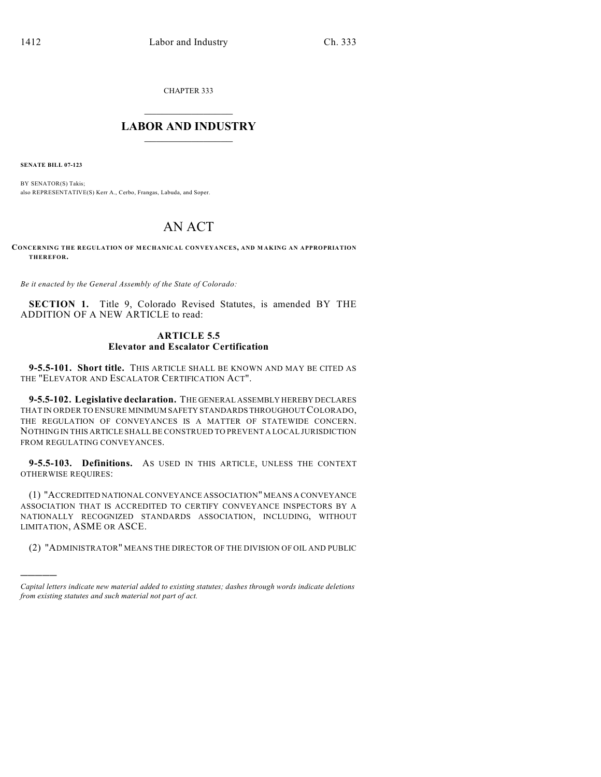CHAPTER 333

## $\mathcal{L}_\text{max}$  . The set of the set of the set of the set of the set of the set of the set of the set of the set of the set of the set of the set of the set of the set of the set of the set of the set of the set of the set **LABOR AND INDUSTRY**  $\frac{1}{\sqrt{2}}$  ,  $\frac{1}{\sqrt{2}}$  ,  $\frac{1}{\sqrt{2}}$  ,  $\frac{1}{\sqrt{2}}$  ,  $\frac{1}{\sqrt{2}}$  ,  $\frac{1}{\sqrt{2}}$

**SENATE BILL 07-123**

)))))

BY SENATOR(S) Takis; also REPRESENTATIVE(S) Kerr A., Cerbo, Frangas, Labuda, and Soper.

# AN ACT

**CONCERNING THE REGULATION OF MECHANICAL CONVEYANCES, AND M AKING AN APPROPRIATION THEREFOR.**

*Be it enacted by the General Assembly of the State of Colorado:*

**SECTION 1.** Title 9, Colorado Revised Statutes, is amended BY THE ADDITION OF A NEW ARTICLE to read:

### **ARTICLE 5.5 Elevator and Escalator Certification**

**9-5.5-101. Short title.** THIS ARTICLE SHALL BE KNOWN AND MAY BE CITED AS THE "ELEVATOR AND ESCALATOR CERTIFICATION ACT".

**9-5.5-102. Legislative declaration.** THE GENERAL ASSEMBLY HEREBY DECLARES THAT IN ORDER TO ENSURE MINIMUM SAFETY STANDARDS THROUGHOUT COLORADO, THE REGULATION OF CONVEYANCES IS A MATTER OF STATEWIDE CONCERN. NOTHING IN THIS ARTICLE SHALL BE CONSTRUED TO PREVENT A LOCAL JURISDICTION FROM REGULATING CONVEYANCES.

**9-5.5-103. Definitions.** AS USED IN THIS ARTICLE, UNLESS THE CONTEXT OTHERWISE REQUIRES:

(1) "ACCREDITED NATIONAL CONVEYANCE ASSOCIATION" MEANS A CONVEYANCE ASSOCIATION THAT IS ACCREDITED TO CERTIFY CONVEYANCE INSPECTORS BY A NATIONALLY RECOGNIZED STANDARDS ASSOCIATION, INCLUDING, WITHOUT LIMITATION, ASME OR ASCE.

(2) "ADMINISTRATOR" MEANS THE DIRECTOR OF THE DIVISION OF OIL AND PUBLIC

*Capital letters indicate new material added to existing statutes; dashes through words indicate deletions from existing statutes and such material not part of act.*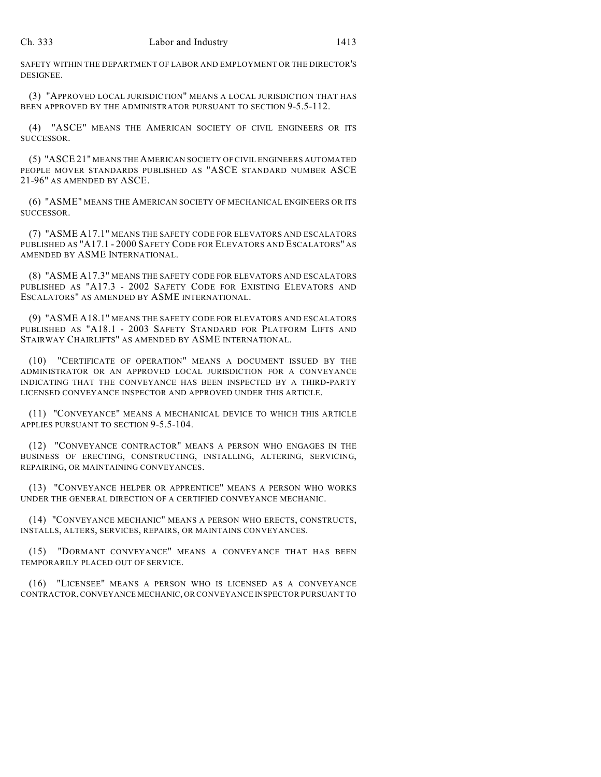SAFETY WITHIN THE DEPARTMENT OF LABOR AND EMPLOYMENT OR THE DIRECTOR'S DESIGNEE.

(3) "APPROVED LOCAL JURISDICTION" MEANS A LOCAL JURISDICTION THAT HAS BEEN APPROVED BY THE ADMINISTRATOR PURSUANT TO SECTION 9-5.5-112.

(4) "ASCE" MEANS THE AMERICAN SOCIETY OF CIVIL ENGINEERS OR ITS SUCCESSOR.

(5) "ASCE 21" MEANS THE AMERICAN SOCIETY OF CIVIL ENGINEERS AUTOMATED PEOPLE MOVER STANDARDS PUBLISHED AS "ASCE STANDARD NUMBER ASCE 21-96" AS AMENDED BY ASCE.

(6) "ASME" MEANS THE AMERICAN SOCIETY OF MECHANICAL ENGINEERS OR ITS SUCCESSOR.

(7) "ASME A17.1" MEANS THE SAFETY CODE FOR ELEVATORS AND ESCALATORS PUBLISHED AS "A17.1 - 2000 SAFETY CODE FOR ELEVATORS AND ESCALATORS" AS AMENDED BY ASME INTERNATIONAL.

(8) "ASME A17.3" MEANS THE SAFETY CODE FOR ELEVATORS AND ESCALATORS PUBLISHED AS "A17.3 - 2002 SAFETY CODE FOR EXISTING ELEVATORS AND ESCALATORS" AS AMENDED BY ASME INTERNATIONAL.

(9) "ASME A18.1" MEANS THE SAFETY CODE FOR ELEVATORS AND ESCALATORS PUBLISHED AS "A18.1 - 2003 SAFETY STANDARD FOR PLATFORM LIFTS AND STAIRWAY CHAIRLIFTS" AS AMENDED BY ASME INTERNATIONAL.

(10) "CERTIFICATE OF OPERATION" MEANS A DOCUMENT ISSUED BY THE ADMINISTRATOR OR AN APPROVED LOCAL JURISDICTION FOR A CONVEYANCE INDICATING THAT THE CONVEYANCE HAS BEEN INSPECTED BY A THIRD-PARTY LICENSED CONVEYANCE INSPECTOR AND APPROVED UNDER THIS ARTICLE.

(11) "CONVEYANCE" MEANS A MECHANICAL DEVICE TO WHICH THIS ARTICLE APPLIES PURSUANT TO SECTION 9-5.5-104.

(12) "CONVEYANCE CONTRACTOR" MEANS A PERSON WHO ENGAGES IN THE BUSINESS OF ERECTING, CONSTRUCTING, INSTALLING, ALTERING, SERVICING, REPAIRING, OR MAINTAINING CONVEYANCES.

(13) "CONVEYANCE HELPER OR APPRENTICE" MEANS A PERSON WHO WORKS UNDER THE GENERAL DIRECTION OF A CERTIFIED CONVEYANCE MECHANIC.

(14) "CONVEYANCE MECHANIC" MEANS A PERSON WHO ERECTS, CONSTRUCTS, INSTALLS, ALTERS, SERVICES, REPAIRS, OR MAINTAINS CONVEYANCES.

(15) "DORMANT CONVEYANCE" MEANS A CONVEYANCE THAT HAS BEEN TEMPORARILY PLACED OUT OF SERVICE.

(16) "LICENSEE" MEANS A PERSON WHO IS LICENSED AS A CONVEYANCE CONTRACTOR, CONVEYANCE MECHANIC, OR CONVEYANCE INSPECTOR PURSUANT TO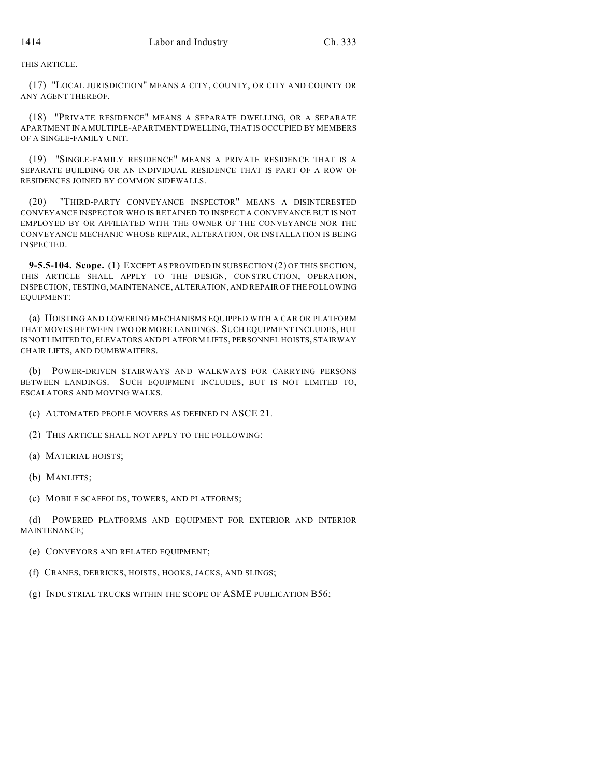THIS ARTICLE.

(17) "LOCAL JURISDICTION" MEANS A CITY, COUNTY, OR CITY AND COUNTY OR ANY AGENT THEREOF.

(18) "PRIVATE RESIDENCE" MEANS A SEPARATE DWELLING, OR A SEPARATE APARTMENT IN A MULTIPLE-APARTMENT DWELLING, THAT IS OCCUPIED BY MEMBERS OF A SINGLE-FAMILY UNIT.

(19) "SINGLE-FAMILY RESIDENCE" MEANS A PRIVATE RESIDENCE THAT IS A SEPARATE BUILDING OR AN INDIVIDUAL RESIDENCE THAT IS PART OF A ROW OF RESIDENCES JOINED BY COMMON SIDEWALLS.

(20) "THIRD-PARTY CONVEYANCE INSPECTOR" MEANS A DISINTERESTED CONVEYANCE INSPECTOR WHO IS RETAINED TO INSPECT A CONVEYANCE BUT IS NOT EMPLOYED BY OR AFFILIATED WITH THE OWNER OF THE CONVEYANCE NOR THE CONVEYANCE MECHANIC WHOSE REPAIR, ALTERATION, OR INSTALLATION IS BEING INSPECTED.

**9-5.5-104. Scope.** (1) EXCEPT AS PROVIDED IN SUBSECTION (2) OF THIS SECTION, THIS ARTICLE SHALL APPLY TO THE DESIGN, CONSTRUCTION, OPERATION, INSPECTION, TESTING, MAINTENANCE, ALTERATION, AND REPAIR OF THE FOLLOWING EQUIPMENT:

(a) HOISTING AND LOWERING MECHANISMS EQUIPPED WITH A CAR OR PLATFORM THAT MOVES BETWEEN TWO OR MORE LANDINGS. SUCH EQUIPMENT INCLUDES, BUT IS NOT LIMITED TO, ELEVATORS AND PLATFORM LIFTS, PERSONNEL HOISTS, STAIRWAY CHAIR LIFTS, AND DUMBWAITERS.

(b) POWER-DRIVEN STAIRWAYS AND WALKWAYS FOR CARRYING PERSONS BETWEEN LANDINGS. SUCH EQUIPMENT INCLUDES, BUT IS NOT LIMITED TO, ESCALATORS AND MOVING WALKS.

(c) AUTOMATED PEOPLE MOVERS AS DEFINED IN ASCE 21.

(2) THIS ARTICLE SHALL NOT APPLY TO THE FOLLOWING:

(a) MATERIAL HOISTS;

(b) MANLIFTS;

(c) MOBILE SCAFFOLDS, TOWERS, AND PLATFORMS;

(d) POWERED PLATFORMS AND EQUIPMENT FOR EXTERIOR AND INTERIOR MAINTENANCE;

(e) CONVEYORS AND RELATED EQUIPMENT;

(f) CRANES, DERRICKS, HOISTS, HOOKS, JACKS, AND SLINGS;

(g) INDUSTRIAL TRUCKS WITHIN THE SCOPE OF ASME PUBLICATION B56;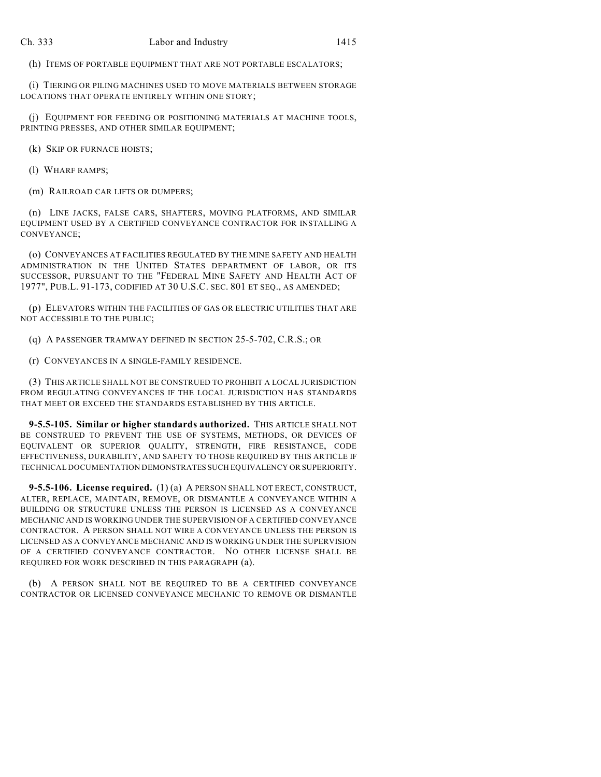(h) ITEMS OF PORTABLE EQUIPMENT THAT ARE NOT PORTABLE ESCALATORS;

(i) TIERING OR PILING MACHINES USED TO MOVE MATERIALS BETWEEN STORAGE LOCATIONS THAT OPERATE ENTIRELY WITHIN ONE STORY;

(j) EQUIPMENT FOR FEEDING OR POSITIONING MATERIALS AT MACHINE TOOLS, PRINTING PRESSES, AND OTHER SIMILAR EQUIPMENT;

(k) SKIP OR FURNACE HOISTS;

(l) WHARF RAMPS;

(m) RAILROAD CAR LIFTS OR DUMPERS;

(n) LINE JACKS, FALSE CARS, SHAFTERS, MOVING PLATFORMS, AND SIMILAR EQUIPMENT USED BY A CERTIFIED CONVEYANCE CONTRACTOR FOR INSTALLING A CONVEYANCE;

(o) CONVEYANCES AT FACILITIES REGULATED BY THE MINE SAFETY AND HEALTH ADMINISTRATION IN THE UNITED STATES DEPARTMENT OF LABOR, OR ITS SUCCESSOR, PURSUANT TO THE "FEDERAL MINE SAFETY AND HEALTH ACT OF 1977", PUB.L. 91-173, CODIFIED AT 30 U.S.C. SEC. 801 ET SEQ., AS AMENDED;

(p) ELEVATORS WITHIN THE FACILITIES OF GAS OR ELECTRIC UTILITIES THAT ARE NOT ACCESSIBLE TO THE PUBLIC;

(q) A PASSENGER TRAMWAY DEFINED IN SECTION 25-5-702, C.R.S.; OR

(r) CONVEYANCES IN A SINGLE-FAMILY RESIDENCE.

(3) THIS ARTICLE SHALL NOT BE CONSTRUED TO PROHIBIT A LOCAL JURISDICTION FROM REGULATING CONVEYANCES IF THE LOCAL JURISDICTION HAS STANDARDS THAT MEET OR EXCEED THE STANDARDS ESTABLISHED BY THIS ARTICLE.

**9-5.5-105. Similar or higher standards authorized.** THIS ARTICLE SHALL NOT BE CONSTRUED TO PREVENT THE USE OF SYSTEMS, METHODS, OR DEVICES OF EQUIVALENT OR SUPERIOR QUALITY, STRENGTH, FIRE RESISTANCE, CODE EFFECTIVENESS, DURABILITY, AND SAFETY TO THOSE REQUIRED BY THIS ARTICLE IF TECHNICAL DOCUMENTATION DEMONSTRATES SUCH EQUIVALENCY OR SUPERIORITY.

**9-5.5-106. License required.** (1) (a) A PERSON SHALL NOT ERECT, CONSTRUCT, ALTER, REPLACE, MAINTAIN, REMOVE, OR DISMANTLE A CONVEYANCE WITHIN A BUILDING OR STRUCTURE UNLESS THE PERSON IS LICENSED AS A CONVEYANCE MECHANIC AND IS WORKING UNDER THE SUPERVISION OF A CERTIFIED CONVEYANCE CONTRACTOR. A PERSON SHALL NOT WIRE A CONVEYANCE UNLESS THE PERSON IS LICENSED AS A CONVEYANCE MECHANIC AND IS WORKING UNDER THE SUPERVISION OF A CERTIFIED CONVEYANCE CONTRACTOR. NO OTHER LICENSE SHALL BE REQUIRED FOR WORK DESCRIBED IN THIS PARAGRAPH (a).

(b) A PERSON SHALL NOT BE REQUIRED TO BE A CERTIFIED CONVEYANCE CONTRACTOR OR LICENSED CONVEYANCE MECHANIC TO REMOVE OR DISMANTLE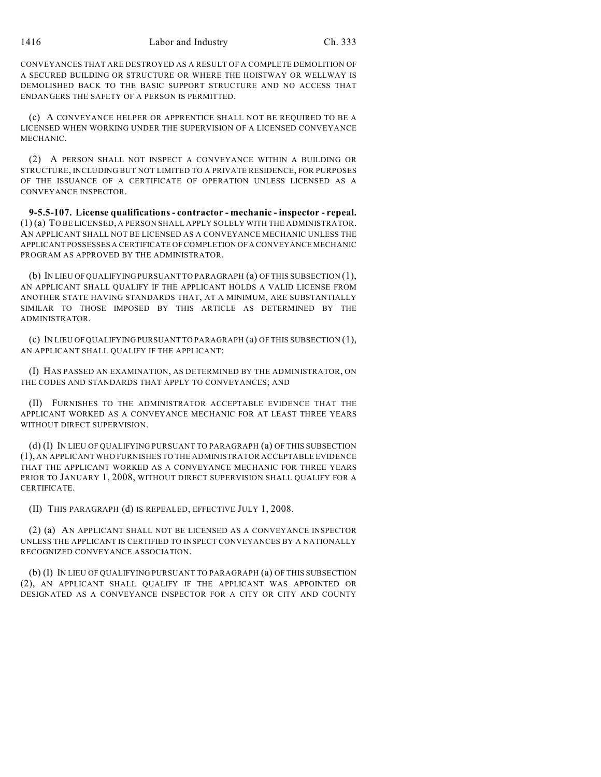CONVEYANCES THAT ARE DESTROYED AS A RESULT OF A COMPLETE DEMOLITION OF A SECURED BUILDING OR STRUCTURE OR WHERE THE HOISTWAY OR WELLWAY IS DEMOLISHED BACK TO THE BASIC SUPPORT STRUCTURE AND NO ACCESS THAT ENDANGERS THE SAFETY OF A PERSON IS PERMITTED.

(c) A CONVEYANCE HELPER OR APPRENTICE SHALL NOT BE REQUIRED TO BE A LICENSED WHEN WORKING UNDER THE SUPERVISION OF A LICENSED CONVEYANCE MECHANIC.

(2) A PERSON SHALL NOT INSPECT A CONVEYANCE WITHIN A BUILDING OR STRUCTURE, INCLUDING BUT NOT LIMITED TO A PRIVATE RESIDENCE, FOR PURPOSES OF THE ISSUANCE OF A CERTIFICATE OF OPERATION UNLESS LICENSED AS A CONVEYANCE INSPECTOR.

**9-5.5-107. License qualifications - contractor - mechanic - inspector - repeal.** (1) (a) TO BE LICENSED, A PERSON SHALL APPLY SOLELY WITH THE ADMINISTRATOR. AN APPLICANT SHALL NOT BE LICENSED AS A CONVEYANCE MECHANIC UNLESS THE APPLICANT POSSESSES A CERTIFICATE OF COMPLETION OF A CONVEYANCE MECHANIC PROGRAM AS APPROVED BY THE ADMINISTRATOR.

(b) IN LIEU OF QUALIFYING PURSUANT TO PARAGRAPH (a) OF THIS SUBSECTION (1), AN APPLICANT SHALL QUALIFY IF THE APPLICANT HOLDS A VALID LICENSE FROM ANOTHER STATE HAVING STANDARDS THAT, AT A MINIMUM, ARE SUBSTANTIALLY SIMILAR TO THOSE IMPOSED BY THIS ARTICLE AS DETERMINED BY THE ADMINISTRATOR.

(c) IN LIEU OF QUALIFYING PURSUANT TO PARAGRAPH (a) OF THIS SUBSECTION (1), AN APPLICANT SHALL QUALIFY IF THE APPLICANT:

(I) HAS PASSED AN EXAMINATION, AS DETERMINED BY THE ADMINISTRATOR, ON THE CODES AND STANDARDS THAT APPLY TO CONVEYANCES; AND

(II) FURNISHES TO THE ADMINISTRATOR ACCEPTABLE EVIDENCE THAT THE APPLICANT WORKED AS A CONVEYANCE MECHANIC FOR AT LEAST THREE YEARS WITHOUT DIRECT SUPERVISION.

(d) (I) IN LIEU OF QUALIFYING PURSUANT TO PARAGRAPH (a) OF THIS SUBSECTION (1), AN APPLICANT WHO FURNISHES TO THE ADMINISTRATOR ACCEPTABLE EVIDENCE THAT THE APPLICANT WORKED AS A CONVEYANCE MECHANIC FOR THREE YEARS PRIOR TO JANUARY 1, 2008, WITHOUT DIRECT SUPERVISION SHALL QUALIFY FOR A CERTIFICATE.

(II) THIS PARAGRAPH (d) IS REPEALED, EFFECTIVE JULY 1, 2008.

(2) (a) AN APPLICANT SHALL NOT BE LICENSED AS A CONVEYANCE INSPECTOR UNLESS THE APPLICANT IS CERTIFIED TO INSPECT CONVEYANCES BY A NATIONALLY RECOGNIZED CONVEYANCE ASSOCIATION.

(b) (I) IN LIEU OF QUALIFYING PURSUANT TO PARAGRAPH (a) OF THIS SUBSECTION (2), AN APPLICANT SHALL QUALIFY IF THE APPLICANT WAS APPOINTED OR DESIGNATED AS A CONVEYANCE INSPECTOR FOR A CITY OR CITY AND COUNTY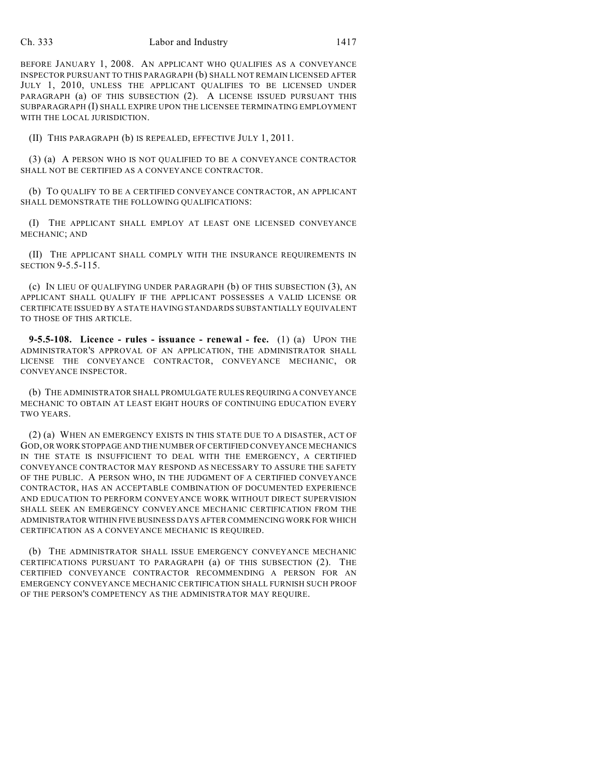#### Ch. 333 Labor and Industry 1417

BEFORE JANUARY 1, 2008. AN APPLICANT WHO QUALIFIES AS A CONVEYANCE INSPECTOR PURSUANT TO THIS PARAGRAPH (b) SHALL NOT REMAIN LICENSED AFTER JULY 1, 2010, UNLESS THE APPLICANT QUALIFIES TO BE LICENSED UNDER PARAGRAPH (a) OF THIS SUBSECTION (2). A LICENSE ISSUED PURSUANT THIS SUBPARAGRAPH (I) SHALL EXPIRE UPON THE LICENSEE TERMINATING EMPLOYMENT WITH THE LOCAL JURISDICTION.

(II) THIS PARAGRAPH (b) IS REPEALED, EFFECTIVE JULY 1, 2011.

(3) (a) A PERSON WHO IS NOT QUALIFIED TO BE A CONVEYANCE CONTRACTOR SHALL NOT BE CERTIFIED AS A CONVEYANCE CONTRACTOR.

(b) TO QUALIFY TO BE A CERTIFIED CONVEYANCE CONTRACTOR, AN APPLICANT SHALL DEMONSTRATE THE FOLLOWING QUALIFICATIONS:

(I) THE APPLICANT SHALL EMPLOY AT LEAST ONE LICENSED CONVEYANCE MECHANIC; AND

(II) THE APPLICANT SHALL COMPLY WITH THE INSURANCE REQUIREMENTS IN SECTION 9-5.5-115.

(c) IN LIEU OF QUALIFYING UNDER PARAGRAPH (b) OF THIS SUBSECTION (3), AN APPLICANT SHALL QUALIFY IF THE APPLICANT POSSESSES A VALID LICENSE OR CERTIFICATE ISSUED BY A STATE HAVING STANDARDS SUBSTANTIALLY EQUIVALENT TO THOSE OF THIS ARTICLE.

**9-5.5-108. Licence - rules - issuance - renewal - fee.** (1) (a) UPON THE ADMINISTRATOR'S APPROVAL OF AN APPLICATION, THE ADMINISTRATOR SHALL LICENSE THE CONVEYANCE CONTRACTOR, CONVEYANCE MECHANIC, OR CONVEYANCE INSPECTOR.

(b) THE ADMINISTRATOR SHALL PROMULGATE RULES REQUIRING A CONVEYANCE MECHANIC TO OBTAIN AT LEAST EIGHT HOURS OF CONTINUING EDUCATION EVERY TWO YEARS.

(2) (a) WHEN AN EMERGENCY EXISTS IN THIS STATE DUE TO A DISASTER, ACT OF GOD, OR WORK STOPPAGE AND THE NUMBER OF CERTIFIED CONVEYANCE MECHANICS IN THE STATE IS INSUFFICIENT TO DEAL WITH THE EMERGENCY, A CERTIFIED CONVEYANCE CONTRACTOR MAY RESPOND AS NECESSARY TO ASSURE THE SAFETY OF THE PUBLIC. A PERSON WHO, IN THE JUDGMENT OF A CERTIFIED CONVEYANCE CONTRACTOR, HAS AN ACCEPTABLE COMBINATION OF DOCUMENTED EXPERIENCE AND EDUCATION TO PERFORM CONVEYANCE WORK WITHOUT DIRECT SUPERVISION SHALL SEEK AN EMERGENCY CONVEYANCE MECHANIC CERTIFICATION FROM THE ADMINISTRATOR WITHIN FIVE BUSINESS DAYS AFTER COMMENCING WORK FOR WHICH CERTIFICATION AS A CONVEYANCE MECHANIC IS REQUIRED.

(b) THE ADMINISTRATOR SHALL ISSUE EMERGENCY CONVEYANCE MECHANIC CERTIFICATIONS PURSUANT TO PARAGRAPH (a) OF THIS SUBSECTION (2). THE CERTIFIED CONVEYANCE CONTRACTOR RECOMMENDING A PERSON FOR AN EMERGENCY CONVEYANCE MECHANIC CERTIFICATION SHALL FURNISH SUCH PROOF OF THE PERSON'S COMPETENCY AS THE ADMINISTRATOR MAY REQUIRE.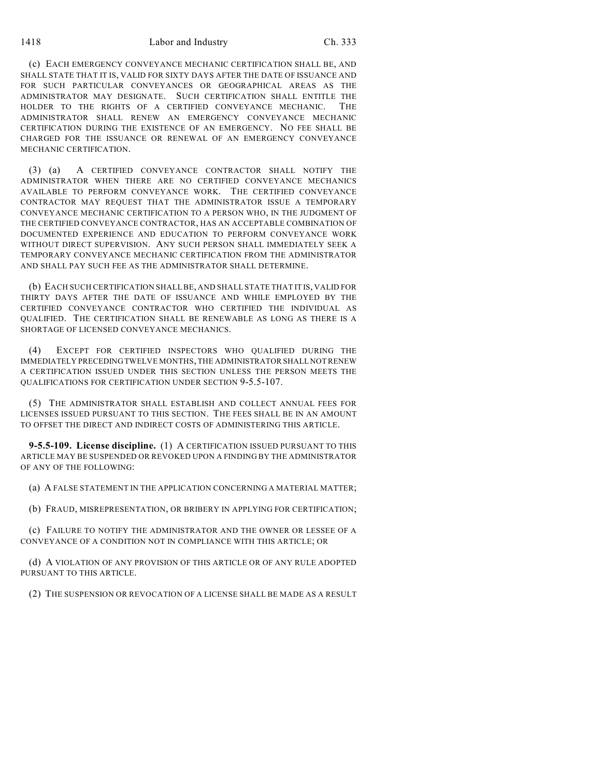#### 1418 Labor and Industry Ch. 333

(c) EACH EMERGENCY CONVEYANCE MECHANIC CERTIFICATION SHALL BE, AND SHALL STATE THAT IT IS, VALID FOR SIXTY DAYS AFTER THE DATE OF ISSUANCE AND FOR SUCH PARTICULAR CONVEYANCES OR GEOGRAPHICAL AREAS AS THE ADMINISTRATOR MAY DESIGNATE. SUCH CERTIFICATION SHALL ENTITLE THE HOLDER TO THE RIGHTS OF A CERTIFIED CONVEYANCE MECHANIC. THE ADMINISTRATOR SHALL RENEW AN EMERGENCY CONVEYANCE MECHANIC CERTIFICATION DURING THE EXISTENCE OF AN EMERGENCY. NO FEE SHALL BE CHARGED FOR THE ISSUANCE OR RENEWAL OF AN EMERGENCY CONVEYANCE MECHANIC CERTIFICATION.

(3) (a) A CERTIFIED CONVEYANCE CONTRACTOR SHALL NOTIFY THE ADMINISTRATOR WHEN THERE ARE NO CERTIFIED CONVEYANCE MECHANICS AVAILABLE TO PERFORM CONVEYANCE WORK. THE CERTIFIED CONVEYANCE CONTRACTOR MAY REQUEST THAT THE ADMINISTRATOR ISSUE A TEMPORARY CONVEYANCE MECHANIC CERTIFICATION TO A PERSON WHO, IN THE JUDGMENT OF THE CERTIFIED CONVEYANCE CONTRACTOR, HAS AN ACCEPTABLE COMBINATION OF DOCUMENTED EXPERIENCE AND EDUCATION TO PERFORM CONVEYANCE WORK WITHOUT DIRECT SUPERVISION. ANY SUCH PERSON SHALL IMMEDIATELY SEEK A TEMPORARY CONVEYANCE MECHANIC CERTIFICATION FROM THE ADMINISTRATOR AND SHALL PAY SUCH FEE AS THE ADMINISTRATOR SHALL DETERMINE.

(b) EACH SUCH CERTIFICATION SHALL BE, AND SHALL STATE THAT IT IS, VALID FOR THIRTY DAYS AFTER THE DATE OF ISSUANCE AND WHILE EMPLOYED BY THE CERTIFIED CONVEYANCE CONTRACTOR WHO CERTIFIED THE INDIVIDUAL AS QUALIFIED. THE CERTIFICATION SHALL BE RENEWABLE AS LONG AS THERE IS A SHORTAGE OF LICENSED CONVEYANCE MECHANICS.

(4) EXCEPT FOR CERTIFIED INSPECTORS WHO QUALIFIED DURING THE IMMEDIATELY PRECEDING TWELVE MONTHS, THE ADMINISTRATOR SHALL NOT RENEW A CERTIFICATION ISSUED UNDER THIS SECTION UNLESS THE PERSON MEETS THE QUALIFICATIONS FOR CERTIFICATION UNDER SECTION 9-5.5-107.

(5) THE ADMINISTRATOR SHALL ESTABLISH AND COLLECT ANNUAL FEES FOR LICENSES ISSUED PURSUANT TO THIS SECTION. THE FEES SHALL BE IN AN AMOUNT TO OFFSET THE DIRECT AND INDIRECT COSTS OF ADMINISTERING THIS ARTICLE.

**9-5.5-109. License discipline.** (1) A CERTIFICATION ISSUED PURSUANT TO THIS ARTICLE MAY BE SUSPENDED OR REVOKED UPON A FINDING BY THE ADMINISTRATOR OF ANY OF THE FOLLOWING:

(a) A FALSE STATEMENT IN THE APPLICATION CONCERNING A MATERIAL MATTER;

(b) FRAUD, MISREPRESENTATION, OR BRIBERY IN APPLYING FOR CERTIFICATION;

(c) FAILURE TO NOTIFY THE ADMINISTRATOR AND THE OWNER OR LESSEE OF A CONVEYANCE OF A CONDITION NOT IN COMPLIANCE WITH THIS ARTICLE; OR

(d) A VIOLATION OF ANY PROVISION OF THIS ARTICLE OR OF ANY RULE ADOPTED PURSUANT TO THIS ARTICLE.

(2) THE SUSPENSION OR REVOCATION OF A LICENSE SHALL BE MADE AS A RESULT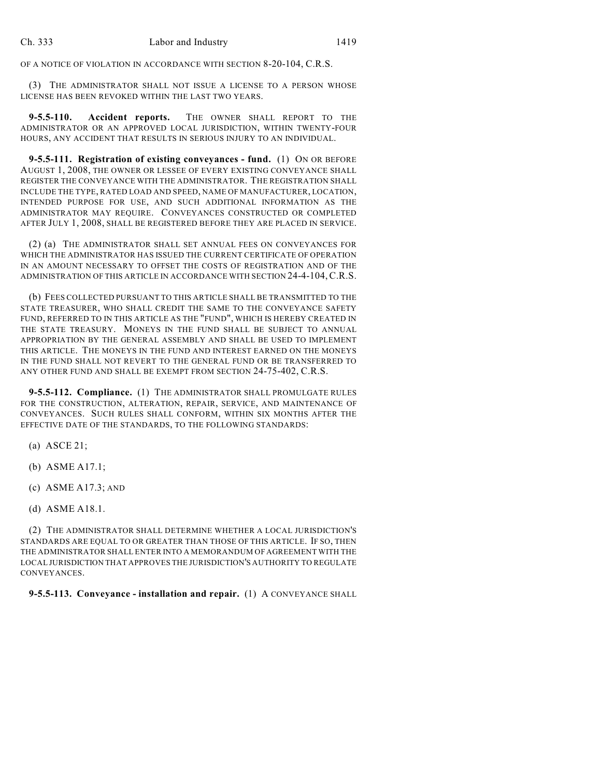OF A NOTICE OF VIOLATION IN ACCORDANCE WITH SECTION 8-20-104, C.R.S.

(3) THE ADMINISTRATOR SHALL NOT ISSUE A LICENSE TO A PERSON WHOSE LICENSE HAS BEEN REVOKED WITHIN THE LAST TWO YEARS.

**9-5.5-110. Accident reports.** THE OWNER SHALL REPORT TO THE ADMINISTRATOR OR AN APPROVED LOCAL JURISDICTION, WITHIN TWENTY-FOUR HOURS, ANY ACCIDENT THAT RESULTS IN SERIOUS INJURY TO AN INDIVIDUAL.

**9-5.5-111. Registration of existing conveyances - fund.** (1) ON OR BEFORE AUGUST 1, 2008, THE OWNER OR LESSEE OF EVERY EXISTING CONVEYANCE SHALL REGISTER THE CONVEYANCE WITH THE ADMINISTRATOR. THE REGISTRATION SHALL INCLUDE THE TYPE, RATED LOAD AND SPEED, NAME OF MANUFACTURER, LOCATION, INTENDED PURPOSE FOR USE, AND SUCH ADDITIONAL INFORMATION AS THE ADMINISTRATOR MAY REQUIRE. CONVEYANCES CONSTRUCTED OR COMPLETED AFTER JULY 1, 2008, SHALL BE REGISTERED BEFORE THEY ARE PLACED IN SERVICE.

(2) (a) THE ADMINISTRATOR SHALL SET ANNUAL FEES ON CONVEYANCES FOR WHICH THE ADMINISTRATOR HAS ISSUED THE CURRENT CERTIFICATE OF OPERATION IN AN AMOUNT NECESSARY TO OFFSET THE COSTS OF REGISTRATION AND OF THE ADMINISTRATION OF THIS ARTICLE IN ACCORDANCE WITH SECTION 24-4-104,C.R.S.

(b) FEES COLLECTED PURSUANT TO THIS ARTICLE SHALL BE TRANSMITTED TO THE STATE TREASURER, WHO SHALL CREDIT THE SAME TO THE CONVEYANCE SAFETY FUND, REFERRED TO IN THIS ARTICLE AS THE "FUND", WHICH IS HEREBY CREATED IN THE STATE TREASURY. MONEYS IN THE FUND SHALL BE SUBJECT TO ANNUAL APPROPRIATION BY THE GENERAL ASSEMBLY AND SHALL BE USED TO IMPLEMENT THIS ARTICLE. THE MONEYS IN THE FUND AND INTEREST EARNED ON THE MONEYS IN THE FUND SHALL NOT REVERT TO THE GENERAL FUND OR BE TRANSFERRED TO ANY OTHER FUND AND SHALL BE EXEMPT FROM SECTION 24-75-402, C.R.S.

**9-5.5-112. Compliance.** (1) THE ADMINISTRATOR SHALL PROMULGATE RULES FOR THE CONSTRUCTION, ALTERATION, REPAIR, SERVICE, AND MAINTENANCE OF CONVEYANCES. SUCH RULES SHALL CONFORM, WITHIN SIX MONTHS AFTER THE EFFECTIVE DATE OF THE STANDARDS, TO THE FOLLOWING STANDARDS:

- (a) ASCE 21;
- (b) ASME A17.1;
- (c) ASME A17.3; AND
- (d) ASME A18.1.

(2) THE ADMINISTRATOR SHALL DETERMINE WHETHER A LOCAL JURISDICTION'S STANDARDS ARE EQUAL TO OR GREATER THAN THOSE OF THIS ARTICLE. IF SO, THEN THE ADMINISTRATOR SHALL ENTER INTO A MEMORANDUM OF AGREEMENT WITH THE LOCAL JURISDICTION THAT APPROVES THE JURISDICTION'S AUTHORITY TO REGULATE CONVEYANCES.

## **9-5.5-113. Conveyance - installation and repair.** (1) A CONVEYANCE SHALL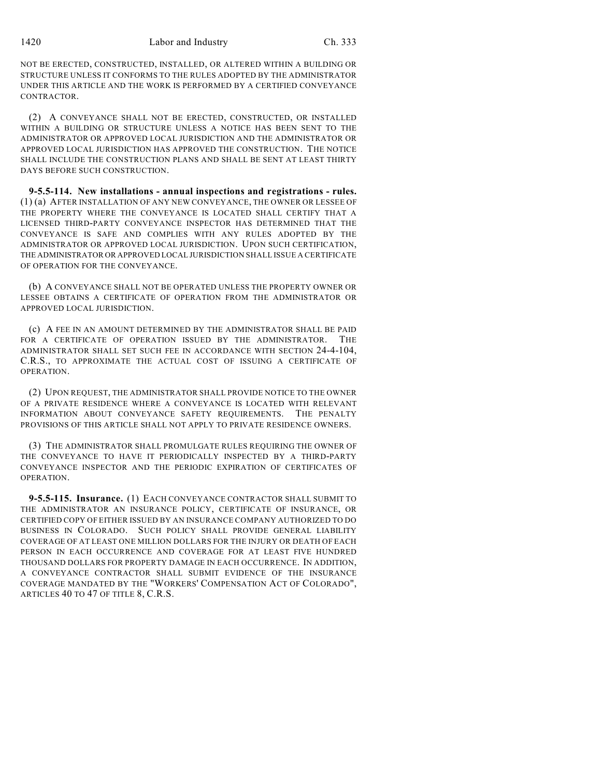NOT BE ERECTED, CONSTRUCTED, INSTALLED, OR ALTERED WITHIN A BUILDING OR STRUCTURE UNLESS IT CONFORMS TO THE RULES ADOPTED BY THE ADMINISTRATOR UNDER THIS ARTICLE AND THE WORK IS PERFORMED BY A CERTIFIED CONVEYANCE CONTRACTOR.

(2) A CONVEYANCE SHALL NOT BE ERECTED, CONSTRUCTED, OR INSTALLED WITHIN A BUILDING OR STRUCTURE UNLESS A NOTICE HAS BEEN SENT TO THE ADMINISTRATOR OR APPROVED LOCAL JURISDICTION AND THE ADMINISTRATOR OR APPROVED LOCAL JURISDICTION HAS APPROVED THE CONSTRUCTION. THE NOTICE SHALL INCLUDE THE CONSTRUCTION PLANS AND SHALL BE SENT AT LEAST THIRTY DAYS BEFORE SUCH CONSTRUCTION.

**9-5.5-114. New installations - annual inspections and registrations - rules.** (1) (a) AFTER INSTALLATION OF ANY NEW CONVEYANCE, THE OWNER OR LESSEE OF THE PROPERTY WHERE THE CONVEYANCE IS LOCATED SHALL CERTIFY THAT A LICENSED THIRD-PARTY CONVEYANCE INSPECTOR HAS DETERMINED THAT THE CONVEYANCE IS SAFE AND COMPLIES WITH ANY RULES ADOPTED BY THE ADMINISTRATOR OR APPROVED LOCAL JURISDICTION. UPON SUCH CERTIFICATION, THE ADMINISTRATOR OR APPROVED LOCAL JURISDICTION SHALL ISSUE A CERTIFICATE OF OPERATION FOR THE CONVEYANCE.

(b) A CONVEYANCE SHALL NOT BE OPERATED UNLESS THE PROPERTY OWNER OR LESSEE OBTAINS A CERTIFICATE OF OPERATION FROM THE ADMINISTRATOR OR APPROVED LOCAL JURISDICTION.

(c) A FEE IN AN AMOUNT DETERMINED BY THE ADMINISTRATOR SHALL BE PAID FOR A CERTIFICATE OF OPERATION ISSUED BY THE ADMINISTRATOR. THE ADMINISTRATOR SHALL SET SUCH FEE IN ACCORDANCE WITH SECTION 24-4-104, C.R.S., TO APPROXIMATE THE ACTUAL COST OF ISSUING A CERTIFICATE OF OPERATION.

(2) UPON REQUEST, THE ADMINISTRATOR SHALL PROVIDE NOTICE TO THE OWNER OF A PRIVATE RESIDENCE WHERE A CONVEYANCE IS LOCATED WITH RELEVANT INFORMATION ABOUT CONVEYANCE SAFETY REQUIREMENTS. THE PENALTY PROVISIONS OF THIS ARTICLE SHALL NOT APPLY TO PRIVATE RESIDENCE OWNERS.

(3) THE ADMINISTRATOR SHALL PROMULGATE RULES REQUIRING THE OWNER OF THE CONVEYANCE TO HAVE IT PERIODICALLY INSPECTED BY A THIRD-PARTY CONVEYANCE INSPECTOR AND THE PERIODIC EXPIRATION OF CERTIFICATES OF OPERATION.

**9-5.5-115. Insurance.** (1) EACH CONVEYANCE CONTRACTOR SHALL SUBMIT TO THE ADMINISTRATOR AN INSURANCE POLICY, CERTIFICATE OF INSURANCE, OR CERTIFIED COPY OF EITHER ISSUED BY AN INSURANCE COMPANY AUTHORIZED TO DO BUSINESS IN COLORADO. SUCH POLICY SHALL PROVIDE GENERAL LIABILITY COVERAGE OF AT LEAST ONE MILLION DOLLARS FOR THE INJURY OR DEATH OF EACH PERSON IN EACH OCCURRENCE AND COVERAGE FOR AT LEAST FIVE HUNDRED THOUSAND DOLLARS FOR PROPERTY DAMAGE IN EACH OCCURRENCE. IN ADDITION, A CONVEYANCE CONTRACTOR SHALL SUBMIT EVIDENCE OF THE INSURANCE COVERAGE MANDATED BY THE "WORKERS' COMPENSATION ACT OF COLORADO", ARTICLES 40 TO 47 OF TITLE 8, C.R.S.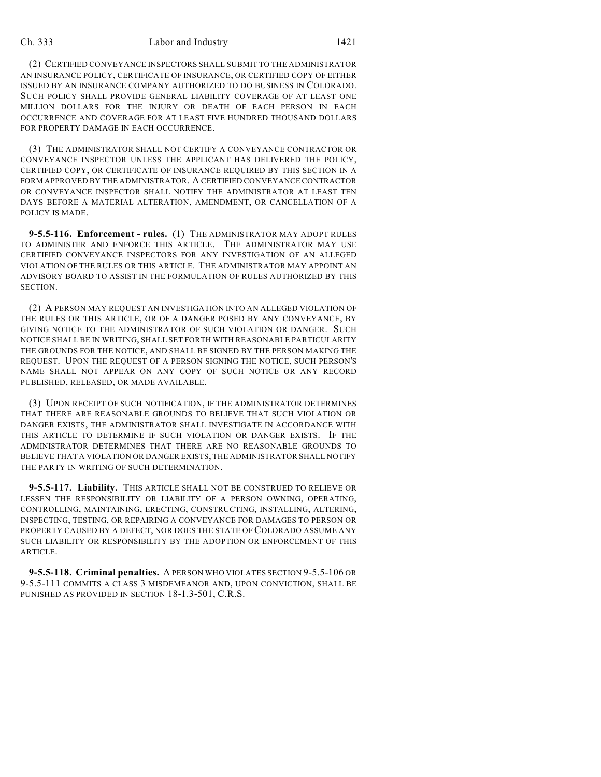#### Ch. 333 Labor and Industry 1421

(2) CERTIFIED CONVEYANCE INSPECTORS SHALL SUBMIT TO THE ADMINISTRATOR AN INSURANCE POLICY, CERTIFICATE OF INSURANCE, OR CERTIFIED COPY OF EITHER ISSUED BY AN INSURANCE COMPANY AUTHORIZED TO DO BUSINESS IN COLORADO. SUCH POLICY SHALL PROVIDE GENERAL LIABILITY COVERAGE OF AT LEAST ONE MILLION DOLLARS FOR THE INJURY OR DEATH OF EACH PERSON IN EACH OCCURRENCE AND COVERAGE FOR AT LEAST FIVE HUNDRED THOUSAND DOLLARS FOR PROPERTY DAMAGE IN EACH OCCURRENCE.

(3) THE ADMINISTRATOR SHALL NOT CERTIFY A CONVEYANCE CONTRACTOR OR CONVEYANCE INSPECTOR UNLESS THE APPLICANT HAS DELIVERED THE POLICY, CERTIFIED COPY, OR CERTIFICATE OF INSURANCE REQUIRED BY THIS SECTION IN A FORM APPROVED BY THE ADMINISTRATOR. A CERTIFIED CONVEYANCE CONTRACTOR OR CONVEYANCE INSPECTOR SHALL NOTIFY THE ADMINISTRATOR AT LEAST TEN DAYS BEFORE A MATERIAL ALTERATION, AMENDMENT, OR CANCELLATION OF A POLICY IS MADE.

**9-5.5-116. Enforcement - rules.** (1) THE ADMINISTRATOR MAY ADOPT RULES TO ADMINISTER AND ENFORCE THIS ARTICLE. THE ADMINISTRATOR MAY USE CERTIFIED CONVEYANCE INSPECTORS FOR ANY INVESTIGATION OF AN ALLEGED VIOLATION OF THE RULES OR THIS ARTICLE. THE ADMINISTRATOR MAY APPOINT AN ADVISORY BOARD TO ASSIST IN THE FORMULATION OF RULES AUTHORIZED BY THIS SECTION.

(2) A PERSON MAY REQUEST AN INVESTIGATION INTO AN ALLEGED VIOLATION OF THE RULES OR THIS ARTICLE, OR OF A DANGER POSED BY ANY CONVEYANCE, BY GIVING NOTICE TO THE ADMINISTRATOR OF SUCH VIOLATION OR DANGER. SUCH NOTICE SHALL BE IN WRITING, SHALL SET FORTH WITH REASONABLE PARTICULARITY THE GROUNDS FOR THE NOTICE, AND SHALL BE SIGNED BY THE PERSON MAKING THE REQUEST. UPON THE REQUEST OF A PERSON SIGNING THE NOTICE, SUCH PERSON'S NAME SHALL NOT APPEAR ON ANY COPY OF SUCH NOTICE OR ANY RECORD PUBLISHED, RELEASED, OR MADE AVAILABLE.

(3) UPON RECEIPT OF SUCH NOTIFICATION, IF THE ADMINISTRATOR DETERMINES THAT THERE ARE REASONABLE GROUNDS TO BELIEVE THAT SUCH VIOLATION OR DANGER EXISTS, THE ADMINISTRATOR SHALL INVESTIGATE IN ACCORDANCE WITH THIS ARTICLE TO DETERMINE IF SUCH VIOLATION OR DANGER EXISTS. IF THE ADMINISTRATOR DETERMINES THAT THERE ARE NO REASONABLE GROUNDS TO BELIEVE THAT A VIOLATION OR DANGER EXISTS, THE ADMINISTRATOR SHALL NOTIFY THE PARTY IN WRITING OF SUCH DETERMINATION.

**9-5.5-117. Liability.** THIS ARTICLE SHALL NOT BE CONSTRUED TO RELIEVE OR LESSEN THE RESPONSIBILITY OR LIABILITY OF A PERSON OWNING, OPERATING, CONTROLLING, MAINTAINING, ERECTING, CONSTRUCTING, INSTALLING, ALTERING, INSPECTING, TESTING, OR REPAIRING A CONVEYANCE FOR DAMAGES TO PERSON OR PROPERTY CAUSED BY A DEFECT, NOR DOES THE STATE OF COLORADO ASSUME ANY SUCH LIABILITY OR RESPONSIBILITY BY THE ADOPTION OR ENFORCEMENT OF THIS ARTICLE.

**9-5.5-118. Criminal penalties.** A PERSON WHO VIOLATES SECTION 9-5.5-106 OR 9-5.5-111 COMMITS A CLASS 3 MISDEMEANOR AND, UPON CONVICTION, SHALL BE PUNISHED AS PROVIDED IN SECTION 18-1.3-501, C.R.S.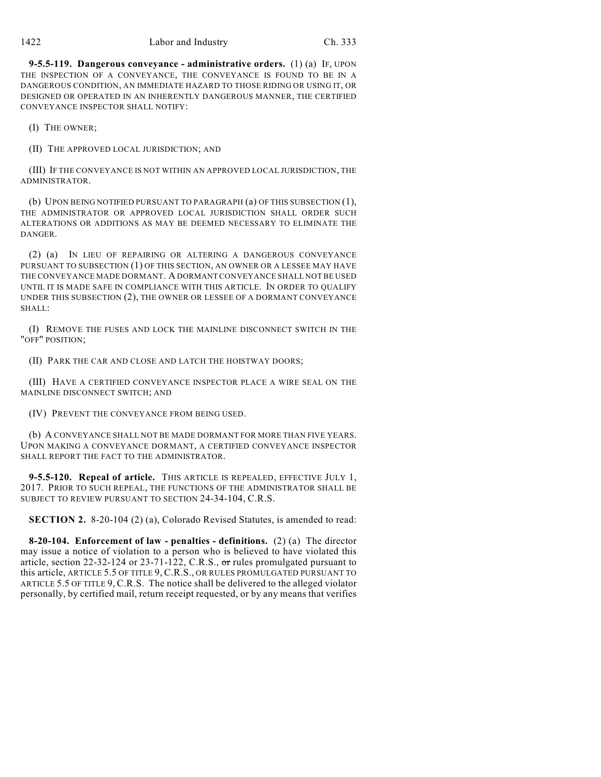**9-5.5-119. Dangerous conveyance - administrative orders.** (1) (a) IF, UPON THE INSPECTION OF A CONVEYANCE, THE CONVEYANCE IS FOUND TO BE IN A DANGEROUS CONDITION, AN IMMEDIATE HAZARD TO THOSE RIDING OR USING IT, OR DESIGNED OR OPERATED IN AN INHERENTLY DANGEROUS MANNER, THE CERTIFIED CONVEYANCE INSPECTOR SHALL NOTIFY:

(I) THE OWNER;

(II) THE APPROVED LOCAL JURISDICTION; AND

(III) IF THE CONVEYANCE IS NOT WITHIN AN APPROVED LOCAL JURISDICTION, THE ADMINISTRATOR.

(b) UPON BEING NOTIFIED PURSUANT TO PARAGRAPH (a) OF THIS SUBSECTION (1), THE ADMINISTRATOR OR APPROVED LOCAL JURISDICTION SHALL ORDER SUCH ALTERATIONS OR ADDITIONS AS MAY BE DEEMED NECESSARY TO ELIMINATE THE DANGER.

(2) (a) IN LIEU OF REPAIRING OR ALTERING A DANGEROUS CONVEYANCE PURSUANT TO SUBSECTION (1) OF THIS SECTION, AN OWNER OR A LESSEE MAY HAVE THE CONVEYANCE MADE DORMANT. A DORMANT CONVEYANCE SHALL NOT BE USED UNTIL IT IS MADE SAFE IN COMPLIANCE WITH THIS ARTICLE. IN ORDER TO QUALIFY UNDER THIS SUBSECTION (2), THE OWNER OR LESSEE OF A DORMANT CONVEYANCE SHALL:

(I) REMOVE THE FUSES AND LOCK THE MAINLINE DISCONNECT SWITCH IN THE "OFF" POSITION;

(II) PARK THE CAR AND CLOSE AND LATCH THE HOISTWAY DOORS;

(III) HAVE A CERTIFIED CONVEYANCE INSPECTOR PLACE A WIRE SEAL ON THE MAINLINE DISCONNECT SWITCH; AND

(IV) PREVENT THE CONVEYANCE FROM BEING USED.

(b) A CONVEYANCE SHALL NOT BE MADE DORMANT FOR MORE THAN FIVE YEARS. UPON MAKING A CONVEYANCE DORMANT, A CERTIFIED CONVEYANCE INSPECTOR SHALL REPORT THE FACT TO THE ADMINISTRATOR.

**9-5.5-120. Repeal of article.** THIS ARTICLE IS REPEALED, EFFECTIVE JULY 1, 2017. PRIOR TO SUCH REPEAL, THE FUNCTIONS OF THE ADMINISTRATOR SHALL BE SUBJECT TO REVIEW PURSUANT TO SECTION 24-34-104, C.R.S.

**SECTION 2.** 8-20-104 (2) (a), Colorado Revised Statutes, is amended to read:

**8-20-104. Enforcement of law - penalties - definitions.** (2) (a) The director may issue a notice of violation to a person who is believed to have violated this article, section 22-32-124 or 23-71-122, C.R.S.,  $\sigma$ r rules promulgated pursuant to this article, ARTICLE 5.5 OF TITLE 9, C.R.S., OR RULES PROMULGATED PURSUANT TO ARTICLE 5.5 OF TITLE 9, C.R.S. The notice shall be delivered to the alleged violator personally, by certified mail, return receipt requested, or by any means that verifies